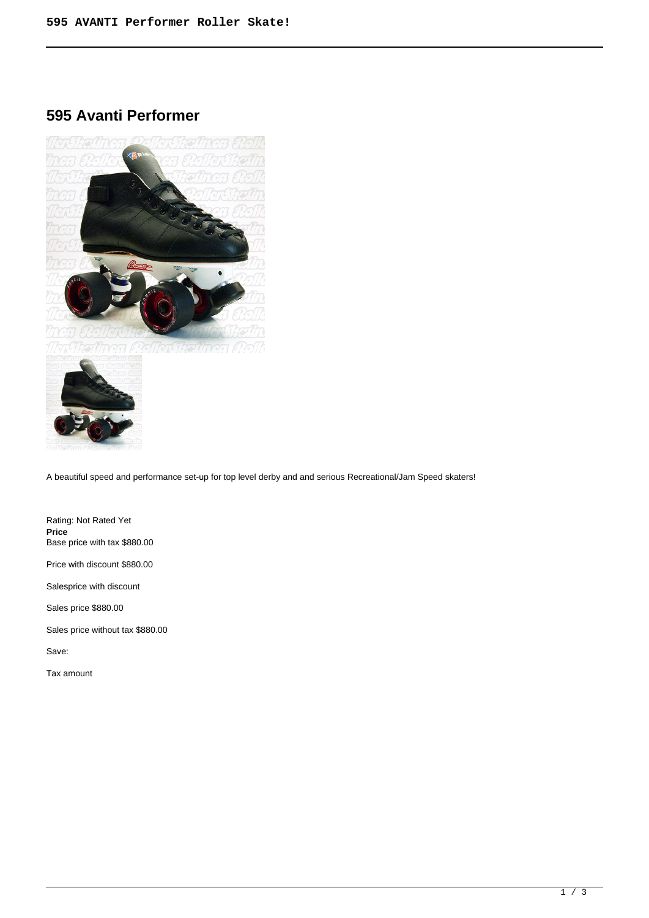# **595 Avanti Performer**





A beautiful speed and performance set-up for top level derby and and serious Recreational/Jam Speed skaters!

Rating: Not Rated Yet **Price**  Base price with tax \$880.00

Price with discount \$880.00

Salesprice with discount

Sales price \$880.00

Sales price without tax \$880.00

Save:

Tax amount